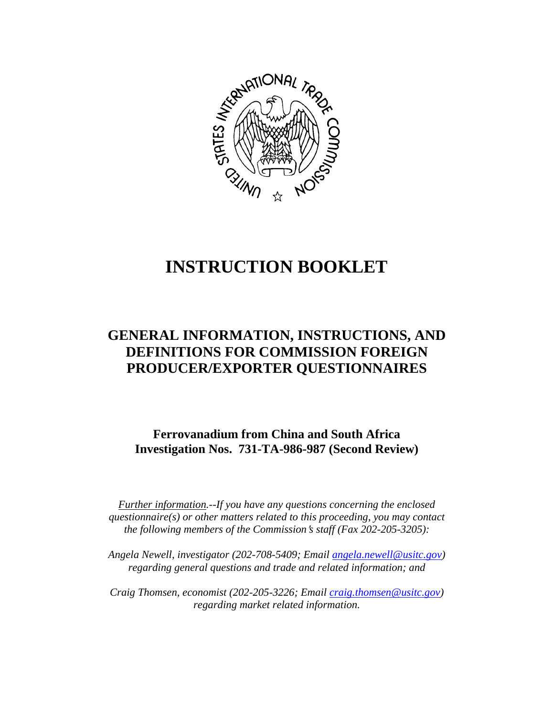

# **INSTRUCTION BOOKLET**

# **GENERAL INFORMATION, INSTRUCTIONS, AND DEFINITIONS FOR COMMISSION FOREIGN PRODUCER/EXPORTER QUESTIONNAIRES**

**Ferrovanadium from China and South Africa Investigation Nos. 731-TA-986-987 (Second Review)**

*Further information.--If you have any questions concerning the enclosed questionnaire(s) or other matters related to this proceeding, you may contact the following members of the Commission's staff (Fax 202-205-3205):* 

*Angela Newell, investigator (202-708-5409; Email angela.newell@usitc.gov) regarding general questions and trade and related information; and* 

 *Craig Thomsen, economist (202-205-3226; Email craig.thomsen@usitc.gov) regarding market related information.*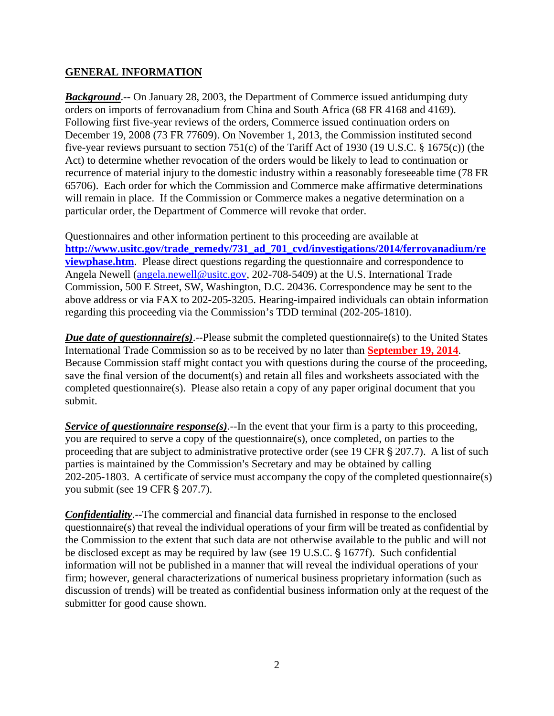#### **GENERAL INFORMATION**

*Background.*-- On January 28, 2003, the Department of Commerce issued antidumping duty orders on imports of ferrovanadium from China and South Africa (68 FR 4168 and 4169). Following first five-year reviews of the orders, Commerce issued continuation orders on December 19, 2008 (73 FR 77609). On November 1, 2013, the Commission instituted second five-year reviews pursuant to section 751(c) of the Tariff Act of 1930 (19 U.S.C. § 1675(c)) (the Act) to determine whether revocation of the orders would be likely to lead to continuation or recurrence of material injury to the domestic industry within a reasonably foreseeable time (78 FR 65706). Each order for which the Commission and Commerce make affirmative determinations will remain in place. If the Commission or Commerce makes a negative determination on a particular order, the Department of Commerce will revoke that order.

Questionnaires and other information pertinent to this proceeding are available at **http://www.usitc.gov/trade\_remedy/731\_ad\_701\_cvd/investigations/2014/ferrovanadium/re viewphase.htm**. Please direct questions regarding the questionnaire and correspondence to Angela Newell (angela.newell@usitc.gov, 202-708-5409) at the U.S. International Trade Commission, 500 E Street, SW, Washington, D.C. 20436. Correspondence may be sent to the above address or via FAX to 202-205-3205. Hearing-impaired individuals can obtain information regarding this proceeding via the Commission's TDD terminal (202-205-1810).

*Due date of questionnaire(s)*.--Please submit the completed questionnaire(s) to the United States International Trade Commission so as to be received by no later than **September 19, 2014**. Because Commission staff might contact you with questions during the course of the proceeding, save the final version of the document(s) and retain all files and worksheets associated with the completed questionnaire(s). Please also retain a copy of any paper original document that you submit.

*Service of questionnaire response(s).*--In the event that your firm is a party to this proceeding, you are required to serve a copy of the questionnaire(s), once completed, on parties to the proceeding that are subject to administrative protective order (see 19 CFR  $\S 207.7$ ). A list of such parties is maintained by the Commission's Secretary and may be obtained by calling 202-205-1803. A certificate of service must accompany the copy of the completed questionnaire(s) you submit (see 19 CFR § 207.7).

*Confidentiality*.--The commercial and financial data furnished in response to the enclosed questionnaire(s) that reveal the individual operations of your firm will be treated as confidential by the Commission to the extent that such data are not otherwise available to the public and will not be disclosed except as may be required by law (see 19 U.S.C. § 1677f). Such confidential information will not be published in a manner that will reveal the individual operations of your firm; however, general characterizations of numerical business proprietary information (such as discussion of trends) will be treated as confidential business information only at the request of the submitter for good cause shown.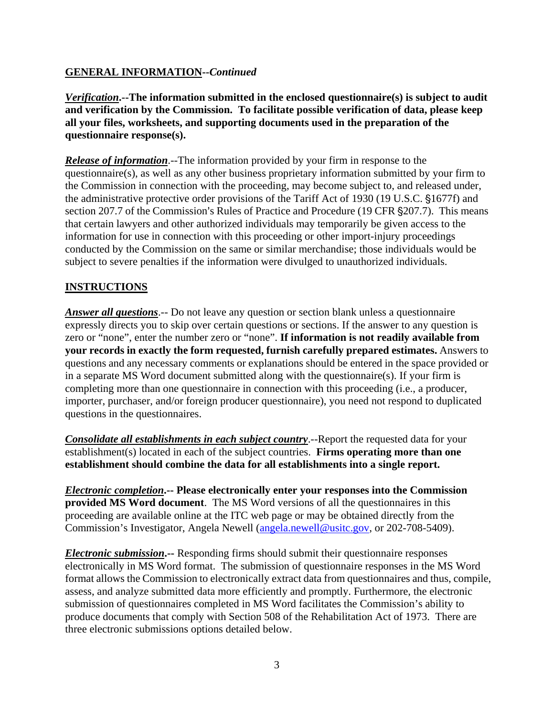### **GENERAL INFORMATION--***Continued*

*Verification***.--The information submitted in the enclosed questionnaire(s) is subject to audit and verification by the Commission. To facilitate possible verification of data, please keep all your files, worksheets, and supporting documents used in the preparation of the questionnaire response(s).**

*Release of information*.--The information provided by your firm in response to the questionnaire(s), as well as any other business proprietary information submitted by your firm to the Commission in connection with the proceeding, may become subject to, and released under, the administrative protective order provisions of the Tariff Act of 1930 (19 U.S.C. §1677f) and section 207.7 of the Commission's Rules of Practice and Procedure (19 CFR §207.7). This means that certain lawyers and other authorized individuals may temporarily be given access to the information for use in connection with this proceeding or other import-injury proceedings conducted by the Commission on the same or similar merchandise; those individuals would be subject to severe penalties if the information were divulged to unauthorized individuals.

# **INSTRUCTIONS**

*Answer all questions*.-- Do not leave any question or section blank unless a questionnaire expressly directs you to skip over certain questions or sections. If the answer to any question is zero or "none", enter the number zero or "none". **If information is not readily available from your records in exactly the form requested, furnish carefully prepared estimates.** Answers to questions and any necessary comments or explanations should be entered in the space provided or in a separate MS Word document submitted along with the questionnaire(s). If your firm is completing more than one questionnaire in connection with this proceeding (i.e., a producer, importer, purchaser, and/or foreign producer questionnaire), you need not respond to duplicated questions in the questionnaires.

*Consolidate all establishments in each subject country*.--Report the requested data for your establishment(s) located in each of the subject countries. **Firms operating more than one establishment should combine the data for all establishments into a single report.** 

*Electronic completion***.-- Please electronically enter your responses into the Commission provided MS Word document**. The MS Word versions of all the questionnaires in this proceeding are available online at the ITC web page or may be obtained directly from the Commission's Investigator, Angela Newell (angela.newell@usitc.gov, or 202-708-5409).

*Electronic submission***.--** Responding firms should submit their questionnaire responses electronically in MS Word format. The submission of questionnaire responses in the MS Word format allows the Commission to electronically extract data from questionnaires and thus, compile, assess, and analyze submitted data more efficiently and promptly. Furthermore, the electronic submission of questionnaires completed in MS Word facilitates the Commission's ability to produce documents that comply with Section 508 of the Rehabilitation Act of 1973. There are three electronic submissions options detailed below.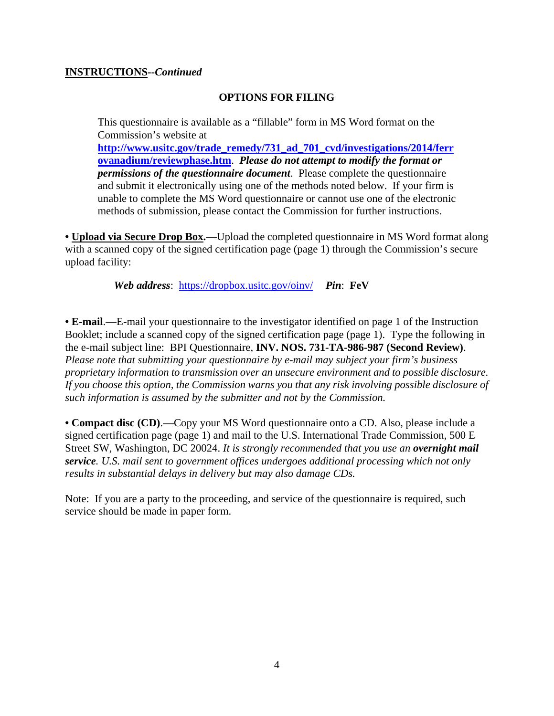#### **INSTRUCTIONS--***Continued*

#### **OPTIONS FOR FILING**

This questionnaire is available as a "fillable" form in MS Word format on the Commission's website at **http://www.usitc.gov/trade\_remedy/731\_ad\_701\_cvd/investigations/2014/ferr ovanadium/reviewphase.htm**. *Please do not attempt to modify the format or permissions of the questionnaire document*. Please complete the questionnaire and submit it electronically using one of the methods noted below. If your firm is unable to complete the MS Word questionnaire or cannot use one of the electronic methods of submission, please contact the Commission for further instructions.

**• Upload via Secure Drop Box.**—Upload the completed questionnaire in MS Word format along with a scanned copy of the signed certification page (page 1) through the Commission's secure upload facility:

*Web address*: https://dropbox.usitc.gov/oinv/ *Pin*: **FeV**

**• E-mail**.—E-mail your questionnaire to the investigator identified on page 1 of the Instruction Booklet; include a scanned copy of the signed certification page (page 1). Type the following in the e-mail subject line: BPI Questionnaire, **INV. NOS. 731-TA-986-987 (Second Review)**. *Please note that submitting your questionnaire by e-mail may subject your firm's business proprietary information to transmission over an unsecure environment and to possible disclosure. If you choose this option, the Commission warns you that any risk involving possible disclosure of such information is assumed by the submitter and not by the Commission.* 

**• Compact disc (CD)**.—Copy your MS Word questionnaire onto a CD. Also, please include a signed certification page (page 1) and mail to the U.S. International Trade Commission, 500 E Street SW, Washington, DC 20024. *It is strongly recommended that you use an overnight mail service. U.S. mail sent to government offices undergoes additional processing which not only results in substantial delays in delivery but may also damage CDs.* 

Note: If you are a party to the proceeding, and service of the questionnaire is required, such service should be made in paper form.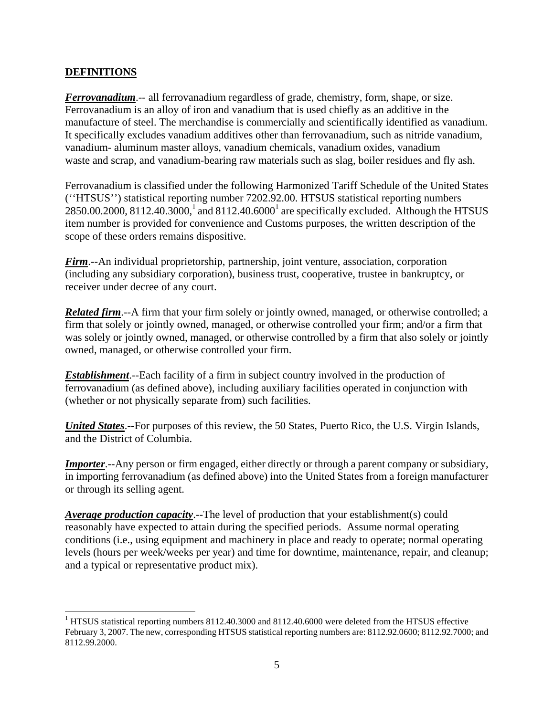### **DEFINITIONS**

 $\overline{a}$ 

*Ferrovanadium*.-- all ferrovanadium regardless of grade, chemistry, form, shape, or size. Ferrovanadium is an alloy of iron and vanadium that is used chiefly as an additive in the manufacture of steel. The merchandise is commercially and scientifically identified as vanadium. It specifically excludes vanadium additives other than ferrovanadium, such as nitride vanadium, vanadium- aluminum master alloys, vanadium chemicals, vanadium oxides, vanadium waste and scrap, and vanadium-bearing raw materials such as slag, boiler residues and fly ash.

Ferrovanadium is classified under the following Harmonized Tariff Schedule of the United States (''HTSUS'') statistical reporting number 7202.92.00. HTSUS statistical reporting numbers 2850.00.2000, 8112.40.3000,<sup>1</sup> and 8112.40.6000<sup>1</sup> are specifically excluded. Although the HTSUS item number is provided for convenience and Customs purposes, the written description of the scope of these orders remains dispositive.

*Firm*.--An individual proprietorship, partnership, joint venture, association, corporation (including any subsidiary corporation), business trust, cooperative, trustee in bankruptcy, or receiver under decree of any court.

*Related firm*.--A firm that your firm solely or jointly owned, managed, or otherwise controlled; a firm that solely or jointly owned, managed, or otherwise controlled your firm; and/or a firm that was solely or jointly owned, managed, or otherwise controlled by a firm that also solely or jointly owned, managed, or otherwise controlled your firm.

*Establishment*.--Each facility of a firm in subject country involved in the production of ferrovanadium (as defined above), including auxiliary facilities operated in conjunction with (whether or not physically separate from) such facilities.

*United States*.--For purposes of this review, the 50 States, Puerto Rico, the U.S. Virgin Islands, and the District of Columbia.

*Importer*.--Any person or firm engaged, either directly or through a parent company or subsidiary, in importing ferrovanadium (as defined above) into the United States from a foreign manufacturer or through its selling agent.

*Average production capacity*.--The level of production that your establishment(s) could reasonably have expected to attain during the specified periods. Assume normal operating conditions (i.e., using equipment and machinery in place and ready to operate; normal operating levels (hours per week/weeks per year) and time for downtime, maintenance, repair, and cleanup; and a typical or representative product mix).

<sup>&</sup>lt;sup>1</sup> HTSUS statistical reporting numbers 8112.40.3000 and 8112.40.6000 were deleted from the HTSUS effective February 3, 2007. The new, corresponding HTSUS statistical reporting numbers are: 8112.92.0600; 8112.92.7000; and 8112.99.2000.